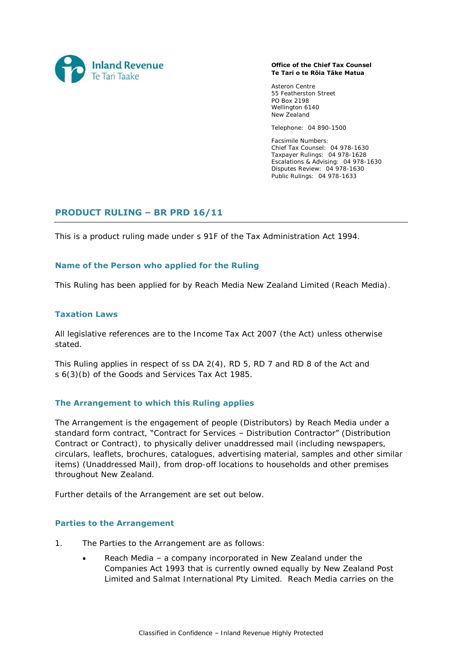

#### **Office of the Chief Tax Counsel Te Tari o te Rōia Tāke Matua**

Asteron Centre 55 Featherston Street PO Box 2198 Wellington 6140 New Zealand

Telephone: 04 890-1500

Facsimile Numbers: Chief Tax Counsel: 04 978-1630 Taxpayer Rulings: 04 978-1628 Escalations & Advising: 04 978-1630 Disputes Review: 04 978-1630 Public Rulings: 04 978-1633

# **PRODUCT RULING – BR PRD 16/11**

This is a product ruling made under s 91F of the Tax Administration Act 1994.

## **Name of the Person who applied for the Ruling**

This Ruling has been applied for by Reach Media New Zealand Limited (Reach Media).

## **Taxation Laws**

All legislative references are to the Income Tax Act 2007 (the Act) unless otherwise stated.

This Ruling applies in respect of ss DA 2(4), RD 5, RD 7 and RD 8 of the Act and s 6(3)(b) of the Goods and Services Tax Act 1985.

## **The Arrangement to which this Ruling applies**

The Arrangement is the engagement of people (Distributors) by Reach Media under a standard form contract, "Contract for Services – Distribution Contractor" (Distribution Contract or Contract), to physically deliver unaddressed mail (including newspapers, circulars, leaflets, brochures, catalogues, advertising material, samples and other similar items) (Unaddressed Mail), from drop-off locations to households and other premises throughout New Zealand.

Further details of the Arrangement are set out below.

## **Parties to the Arrangement**

- 1. The Parties to the Arrangement are as follows:
	- Reach Media a company incorporated in New Zealand under the Companies Act 1993 that is currently owned equally by New Zealand Post Limited and Salmat International Pty Limited. Reach Media carries on the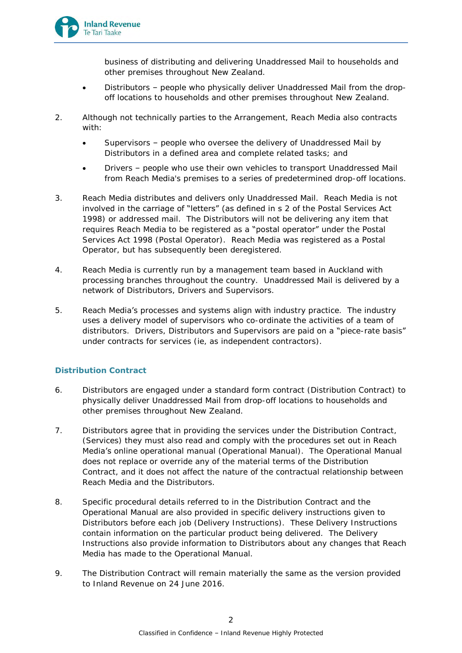

business of distributing and delivering Unaddressed Mail to households and other premises throughout New Zealand.

- Distributors people who physically deliver Unaddressed Mail from the dropoff locations to households and other premises throughout New Zealand.
- 2. Although not technically parties to the Arrangement, Reach Media also contracts with:
	- Supervisors people who oversee the delivery of Unaddressed Mail by Distributors in a defined area and complete related tasks; and
	- Drivers people who use their own vehicles to transport Unaddressed Mail from Reach Media's premises to a series of predetermined drop-off locations.
- 3. Reach Media distributes and delivers only Unaddressed Mail. Reach Media is not involved in the carriage of "letters" (as defined in s 2 of the Postal Services Act 1998) or addressed mail. The Distributors will not be delivering any item that requires Reach Media to be registered as a "postal operator" under the Postal Services Act 1998 (Postal Operator). Reach Media was registered as a Postal Operator, but has subsequently been deregistered.
- 4. Reach Media is currently run by a management team based in Auckland with processing branches throughout the country. Unaddressed Mail is delivered by a network of Distributors, Drivers and Supervisors.
- 5. Reach Media's processes and systems align with industry practice. The industry uses a delivery model of supervisors who co-ordinate the activities of a team of distributors. Drivers, Distributors and Supervisors are paid on a "piece-rate basis" under contracts for services (ie, as independent contractors).

## **Distribution Contract**

- 6. Distributors are engaged under a standard form contract (Distribution Contract) to physically deliver Unaddressed Mail from drop-off locations to households and other premises throughout New Zealand.
- 7. Distributors agree that in providing the services under the Distribution Contract, (Services) they must also read and comply with the procedures set out in Reach Media's online operational manual (Operational Manual). The Operational Manual does not replace or override any of the material terms of the Distribution Contract, and it does not affect the nature of the contractual relationship between Reach Media and the Distributors.
- 8. Specific procedural details referred to in the Distribution Contract and the Operational Manual are also provided in specific delivery instructions given to Distributors before each job (Delivery Instructions). These Delivery Instructions contain information on the particular product being delivered. The Delivery Instructions also provide information to Distributors about any changes that Reach Media has made to the Operational Manual.
- 9. The Distribution Contract will remain materially the same as the version provided to Inland Revenue on 24 June 2016.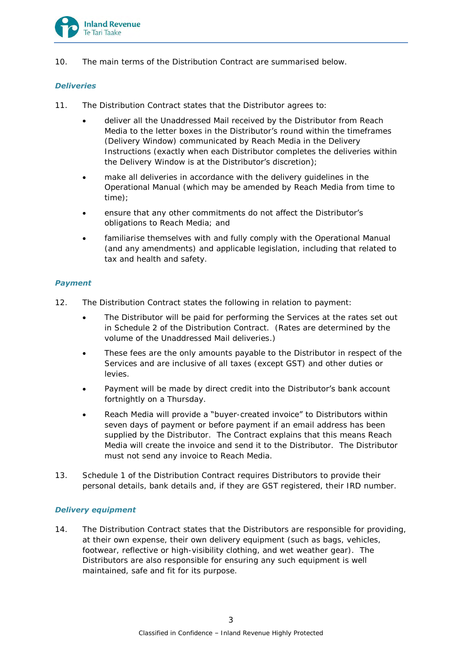

10. The main terms of the Distribution Contract are summarised below.

## *Deliveries*

- 11. The Distribution Contract states that the Distributor agrees to:
	- deliver all the Unaddressed Mail received by the Distributor from Reach Media to the letter boxes in the Distributor's round within the timeframes (Delivery Window) communicated by Reach Media in the Delivery Instructions (exactly when each Distributor completes the deliveries within the Delivery Window is at the Distributor's discretion);
	- make all deliveries in accordance with the delivery guidelines in the Operational Manual (which may be amended by Reach Media from time to time);
	- ensure that any other commitments do not affect the Distributor's obligations to Reach Media; and
	- familiarise themselves with and fully comply with the Operational Manual (and any amendments) and applicable legislation, including that related to tax and health and safety.

## *Payment*

- 12. The Distribution Contract states the following in relation to payment:
	- The Distributor will be paid for performing the Services at the rates set out in Schedule 2 of the Distribution Contract. (Rates are determined by the volume of the Unaddressed Mail deliveries.)
	- These fees are the only amounts payable to the Distributor in respect of the Services and are inclusive of all taxes (except GST) and other duties or levies.
	- Payment will be made by direct credit into the Distributor's bank account fortnightly on a Thursday.
	- Reach Media will provide a "buyer-created invoice" to Distributors within seven days of payment or before payment if an email address has been supplied by the Distributor. The Contract explains that this means Reach Media will create the invoice and send it to the Distributor. The Distributor must not send any invoice to Reach Media.
- 13. Schedule 1 of the Distribution Contract requires Distributors to provide their personal details, bank details and, if they are GST registered, their IRD number.

## *Delivery equipment*

14. The Distribution Contract states that the Distributors are responsible for providing, at their own expense, their own delivery equipment (such as bags, vehicles, footwear, reflective or high-visibility clothing, and wet weather gear). The Distributors are also responsible for ensuring any such equipment is well maintained, safe and fit for its purpose.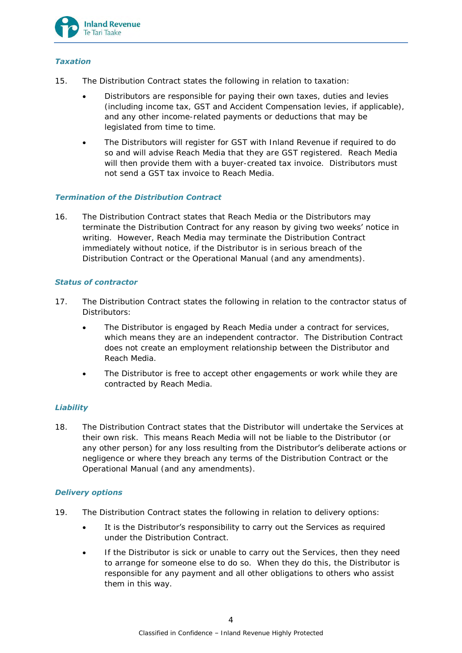

## *Taxation*

- 15. The Distribution Contract states the following in relation to taxation:
	- Distributors are responsible for paying their own taxes, duties and levies (including income tax, GST and Accident Compensation levies, if applicable), and any other income-related payments or deductions that may be legislated from time to time.
	- The Distributors will register for GST with Inland Revenue if required to do so and will advise Reach Media that they are GST registered. Reach Media will then provide them with a buyer-created tax invoice. Distributors must not send a GST tax invoice to Reach Media.

## *Termination of the Distribution Contract*

16. The Distribution Contract states that Reach Media or the Distributors may terminate the Distribution Contract for any reason by giving two weeks' notice in writing. However, Reach Media may terminate the Distribution Contract immediately without notice, if the Distributor is in serious breach of the Distribution Contract or the Operational Manual (and any amendments).

## *Status of contractor*

- 17. The Distribution Contract states the following in relation to the contractor status of Distributors:
	- The Distributor is engaged by Reach Media under a contract for services, which means they are an independent contractor. The Distribution Contract does not create an employment relationship between the Distributor and Reach Media.
	- The Distributor is free to accept other engagements or work while they are contracted by Reach Media.

## *Liability*

18. The Distribution Contract states that the Distributor will undertake the Services at their own risk. This means Reach Media will not be liable to the Distributor (or any other person) for any loss resulting from the Distributor's deliberate actions or negligence or where they breach any terms of the Distribution Contract or the Operational Manual (and any amendments).

## *Delivery options*

- 19. The Distribution Contract states the following in relation to delivery options:
	- It is the Distributor's responsibility to carry out the Services as required under the Distribution Contract.
	- If the Distributor is sick or unable to carry out the Services, then they need to arrange for someone else to do so. When they do this, the Distributor is responsible for any payment and all other obligations to others who assist them in this way.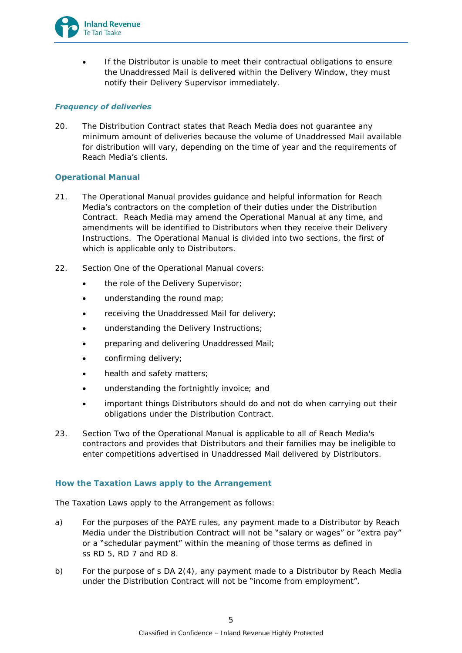

 If the Distributor is unable to meet their contractual obligations to ensure the Unaddressed Mail is delivered within the Delivery Window, they must notify their Delivery Supervisor immediately.

## *Frequency of deliveries*

20. The Distribution Contract states that Reach Media does not guarantee any minimum amount of deliveries because the volume of Unaddressed Mail available for distribution will vary, depending on the time of year and the requirements of Reach Media's clients.

## **Operational Manual**

- 21. The Operational Manual provides guidance and helpful information for Reach Media's contractors on the completion of their duties under the Distribution Contract. Reach Media may amend the Operational Manual at any time, and amendments will be identified to Distributors when they receive their Delivery Instructions. The Operational Manual is divided into two sections, the first of which is applicable only to Distributors.
- 22. Section One of the Operational Manual covers:
	- the role of the Delivery Supervisor;
	- understanding the round map;
	- receiving the Unaddressed Mail for delivery;
	- understanding the Delivery Instructions;
	- **•** preparing and delivering Unaddressed Mail;
	- confirming delivery;
	- health and safety matters;
	- understanding the fortnightly invoice; and
	- important things Distributors should do and not do when carrying out their obligations under the Distribution Contract.
- 23. Section Two of the Operational Manual is applicable to all of Reach Media's contractors and provides that Distributors and their families may be ineligible to enter competitions advertised in Unaddressed Mail delivered by Distributors.

## **How the Taxation Laws apply to the Arrangement**

The Taxation Laws apply to the Arrangement as follows:

- a) For the purposes of the PAYE rules, any payment made to a Distributor by Reach Media under the Distribution Contract will not be "salary or wages" or "extra pay" or a "schedular payment" within the meaning of those terms as defined in ss RD 5, RD 7 and RD 8.
- b) For the purpose of s DA 2(4), any payment made to a Distributor by Reach Media under the Distribution Contract will not be "income from employment".